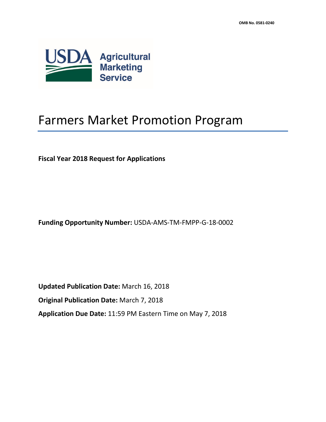

# Farmers Market Promotion Program

**Fiscal Year 2018 Request for Applications**

**Funding Opportunity Number:** USDA-AMS-TM-FMPP-G-18-0002

**Updated Publication Date:** March 16, 2018 **Original Publication Date:** March 7, 2018 **Application Due Date:** 11:59 PM Eastern Time on May 7, 2018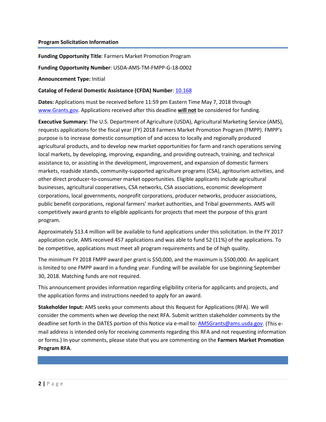#### **Program Solicitation Information**

**Funding Opportunity Title**: Farmers Market Promotion Program

**Funding Opportunity Number**: USDA-AMS-TM-FMPP-G-18-0002

**Announcement Type:** Initial

#### **Catalog of Federal Domestic Assistance (CFDA) Number**[: 10.168](https://www.cfda.gov/index?s=program&mode=form&tab=step1&id=aff1879b7e7034833190074ee30aaa24)

**Dates:** Applications must be received before 11:59 pm Eastern Time May 7, 2018 through [www.Grants.gov.](http://www.grants.gov/) Applications received after this deadline **will not** be considered for funding.

**Executive Summary:** The U.S. Department of Agriculture (USDA), Agricultural Marketing Service (AMS), requests applications for the fiscal year (FY) 2018 Farmers Market Promotion Program (FMPP). FMPP's purpose is to increase domestic consumption of and access to locally and regionally produced agricultural products, and to develop new market opportunities for farm and ranch operations serving local markets, by developing, improving, expanding, and providing outreach, training, and technical assistance to, or assisting in the development, improvement, and expansion of domestic farmers markets, roadside stands, community-supported agriculture programs (CSA), agritourism activities, and other direct producer-to-consumer market opportunities. Eligible applicants include agricultural businesses, agricultural cooperatives, CSA networks, CSA associations, economic development corporations, local governments, nonprofit corporations, producer networks, producer associations, public benefit corporations, regional farmers' market authorities, and Tribal governments. AMS will competitively award grants to eligible applicants for projects that meet the purpose of this grant program.

Approximately \$13.4 million will be available to fund applications under this solicitation. In the FY 2017 application cycle, AMS received 457 applications and was able to fund 52 (11%) of the applications. To be competitive, applications must meet all program requirements and be of high quality.

The minimum FY 2018 FMPP award per grant is \$50,000, and the maximum is \$500,000. An applicant is limited to one FMPP award in a funding year. Funding will be available for use beginning September 30, 2018. Matching funds are not required.

This announcement provides information regarding eligibility criteria for applicants and projects, and the application forms and instructions needed to apply for an award.

**Stakeholder Input:** AMS seeks your comments about this Request for Applications (RFA). We will consider the comments when we develop the next RFA. Submit written stakeholder comments by the deadline set forth in the DATES portion of this Notice via e-mail to: [AMSGrants@ams.usda.gov.](mailto:AMSGrants@ams.usda.gov) (This email address is intended only for receiving comments regarding this RFA and not requesting information or forms.) In your comments, please state that you are commenting on the **Farmers Market Promotion Program RFA**.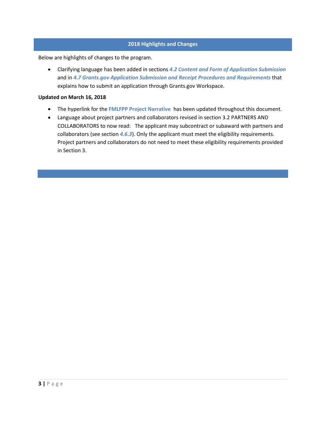### **2018 Highlights and Changes**

Below are highlights of changes to the program.

• Clarifying language has been added in sections *[4.2](#page-12-0) [Content and Form of Application Submission](#page-12-0)* and in *4.7 Grants.gov Application Submission and Receipt Procedures and Requirements* that explains how to submit an application through Grants.gov Workspace.

#### **Updated on March 16, 2018**

- The hyperlink for the **[FMLFPP Project Narrative](https://www.ams.usda.gov/sites/default/files/media/2018FMLFPPProjectNarrative03052018.docx)** has been updated throughout this document.
- Language about project partners and collaborators revised in section 3.2 PARTNERS AND COLLABORATORS to now read: The applicant may subcontract or subaward with partners and collaborators (see section *[4.6.3](#page-18-0)*). Only the applicant must meet the eligibility requirements. Project partners and collaborators do not need to meet these eligibility requirements provided in Section 3.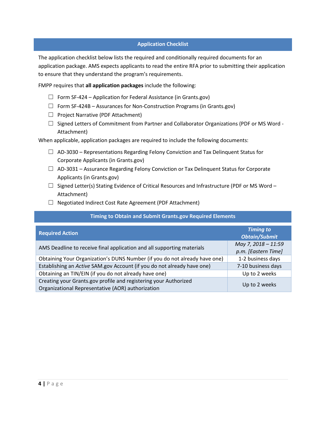### **Application Checklist**

The application checklist below lists the required and conditionally required documents for an application package. AMS expects applicants to read the entire RFA prior to submitting their application to ensure that they understand the program's requirements.

FMPP requires that **all application packages** include the following:

- $\Box$  Form SF-424 Application for Federal Assistance (in Grants.gov)
- ☐ Form SF-424B Assurances for Non-Construction Programs (in Grants.gov)
- ☐ Project Narrative (PDF Attachment)
- $\Box$  Signed Letters of Commitment from Partner and Collaborator Organizations (PDF or MS Word -Attachment)

When applicable, application packages are required to include the following documents:

- $\Box$  AD-3030 Representations Regarding Felony Conviction and Tax Delinquent Status for Corporate Applicants (in Grants.gov)
- $\Box$  AD-3031 Assurance Regarding Felony Conviction or Tax Delinquent Status for Corporate Applicants (in Grants.gov)
- $\Box$  Signed Letter(s) Stating Evidence of Critical Resources and Infrastructure (PDF or MS Word Attachment)
- ☐ Negotiated Indirect Cost Rate Agreement (PDF Attachment)

#### **Timing to Obtain and Submit Grants.gov Required Elements**

| <b>Required Action</b>                                                                                                | <b>Timing to</b><br><b>Obtain/Submit</b>   |
|-----------------------------------------------------------------------------------------------------------------------|--------------------------------------------|
| AMS Deadline to receive final application and all supporting materials                                                | May 7, 2018 - 11:59<br>p.m. [Eastern Time] |
| Obtaining Your Organization's DUNS Number (if you do not already have one)                                            | 1-2 business days                          |
| Establishing an Active SAM.gov Account (if you do not already have one)                                               | 7-10 business days                         |
| Obtaining an TIN/EIN (if you do not already have one)                                                                 | Up to 2 weeks                              |
| Creating your Grants.gov profile and registering your Authorized<br>Organizational Representative (AOR) authorization | Up to 2 weeks                              |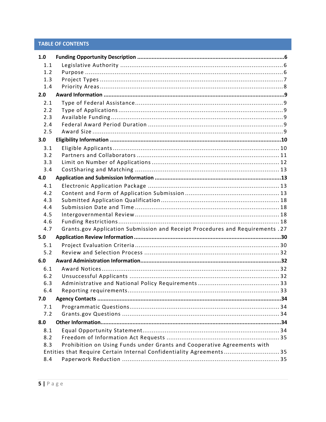### **TABLE OF CONTENTS**

| 1.0 |                                                                                |  |
|-----|--------------------------------------------------------------------------------|--|
| 1.1 |                                                                                |  |
| 1.2 |                                                                                |  |
| 1.3 |                                                                                |  |
| 1.4 |                                                                                |  |
| 2.0 |                                                                                |  |
| 2.1 |                                                                                |  |
| 2.2 |                                                                                |  |
| 2.3 |                                                                                |  |
| 2.4 |                                                                                |  |
| 2.5 |                                                                                |  |
| 3.0 |                                                                                |  |
| 3.1 |                                                                                |  |
| 3.2 |                                                                                |  |
| 3.3 |                                                                                |  |
| 3.4 |                                                                                |  |
| 4.0 |                                                                                |  |
| 4.1 |                                                                                |  |
| 4.2 |                                                                                |  |
| 4.3 |                                                                                |  |
| 4.4 |                                                                                |  |
| 4.5 |                                                                                |  |
| 4.6 |                                                                                |  |
| 4.7 | Grants.gov Application Submission and Receipt Procedures and Requirements . 27 |  |
| 5.0 |                                                                                |  |
| 5.1 |                                                                                |  |
| 5.2 |                                                                                |  |
| 6.0 |                                                                                |  |
| 6.1 |                                                                                |  |
| 6.2 |                                                                                |  |
| 6.3 |                                                                                |  |
| 6.4 |                                                                                |  |
| 7.0 |                                                                                |  |
| 7.1 |                                                                                |  |
| 7.2 |                                                                                |  |
| 8.0 |                                                                                |  |
| 8.1 |                                                                                |  |
| 8.2 |                                                                                |  |
| 8.3 | Prohibition on Using Funds under Grants and Cooperative Agreements with        |  |
|     | Entities that Require Certain Internal Confidentiality Agreements 35           |  |
| 8.4 |                                                                                |  |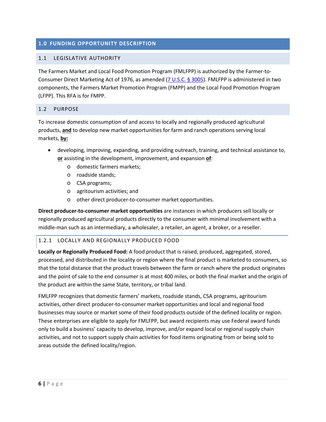### <span id="page-5-0"></span>**1.0 FUNDING OPPORTUNITY DESCRIPTION**

### <span id="page-5-1"></span>1.1 LEGISLATIVE AUTHORITY

The Farmers Market and Local Food Promotion Program (FMLFPP) is authorized by the Farmer-to-Consumer Direct Marketing Act of 1976, as amended [\(7 U.S.C.](http://uscode.house.gov/view.xhtml?req=(title:7%20section:3005%20edition:prelim)%20OR%20(granuleid:USC-prelim-title7-section3005)&f=treesort&edition=prelim&num=0&jumpTo=true) § 3005). FMLFPP is administered in two components, the Farmers Market Promotion Program (FMPP) and the Local Food Promotion Program (LFPP). This RFA is for FMPP.

### <span id="page-5-2"></span>1.2 PURPOSE

To increase domestic consumption of and access to locally and regionally produced agricultural products, **and** to develop new market opportunities for farm and ranch operations serving local markets, **by:**

- developing, improving, expanding, and providing outreach, training, and technical assistance to, **or** assisting in the development, improvement, and expansion **of**:
	- o domestic farmers markets;
	- o roadside stands;
	- o CSA programs;
	- o agritourism activities; and
	- o other direct producer-to-consumer market opportunities.

**Direct producer-to-consumer market opportunities** are instances in which producers sell locally or regionally produced agricultural products directly to the consumer with minimal involvement with a middle-man such as an intermediary, a wholesaler, a retailer, an agent, a broker, or a reseller.

### 1.2.1 LOCALLY AND REGIONALLY PRODUCED FOOD

**Locally or Regionally Produced Food:** A food product that is raised, produced, aggregated, stored, processed, and distributed in the locality or region where the final product is marketed to consumers, so that the total distance that the product travels between the farm or ranch where the product originates and the point of sale to the end consumer is at most 400 miles, or both the final market and the origin of the product are within the same State, territory, or tribal land.

FMLFPP recognizes that domestic farmers' markets, roadside stands, CSA programs, agritourism activities, other direct producer-to-consumer market opportunities and local and regional food businesses may source or market some of their food products outside of the defined locality or region. These enterprises are eligible to apply for FMLFPP, but award recipients may use Federal award funds only to build a business' capacity to develop, improve, and/or expand local or regional supply chain activities, and not to support supply chain activities for food items originating from or being sold to areas outside the defined locality/region.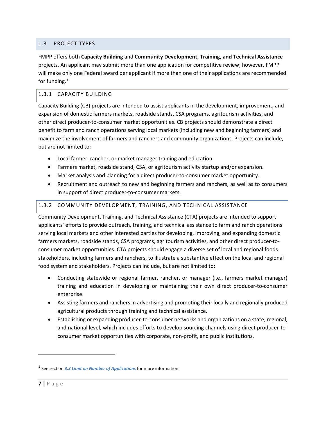### <span id="page-6-0"></span>1.3 PROJECT TYPES

FMPP offers both **Capacity Building** and **Community Development, Training, and Technical Assistance** projects. An applicant may submit more than one application for competitive review; however, FMPP will make only one Federal award per applicant if more than one of their applications are recommended for funding. $1$ 

### 1.3.1 CAPACITY BUILDING

Capacity Building (CB) projects are intended to assist applicants in the development, improvement, and expansion of domestic farmers markets, roadside stands, CSA programs, agritourism activities, and other direct producer-to-consumer market opportunities. CB projects should demonstrate a direct benefit to farm and ranch operations serving local markets (including new and beginning farmers) and maximize the involvement of farmers and ranchers and community organizations. Projects can include, but are not limited to:

- Local farmer, rancher, or market manager training and education.
- Farmers market, roadside stand, CSA, or agritourism activity startup and/or expansion.
- Market analysis and planning for a direct producer-to-consumer market opportunity.
- Recruitment and outreach to new and beginning farmers and ranchers, as well as to consumers in support of direct producer-to-consumer markets.

### 1.3.2 COMMUNITY DEVELOPMENT, TRAINING, AND TECHNICAL ASSISTANCE

Community Development, Training, and Technical Assistance (CTA) projects are intended to support applicants' efforts to provide outreach, training, and technical assistance to farm and ranch operations serving local markets and other interested parties for developing, improving, and expanding domestic farmers markets, roadside stands, CSA programs, agritourism activities, and other direct producer-toconsumer market opportunities. CTA projects should engage a diverse set of local and regional foods stakeholders, including farmers and ranchers, to illustrate a substantive effect on the local and regional food system and stakeholders. Projects can include, but are not limited to:

- Conducting statewide or regional farmer, rancher, or manager (i.e., farmers market manager) training and education in developing or maintaining their own direct producer-to-consumer enterprise.
- Assisting farmers and ranchers in advertising and promoting their locally and regionally produced agricultural products through training and technical assistance.
- Establishing or expanding producer-to-consumer networks and organizations on a state, regional, and national level, which includes efforts to develop sourcing channels using direct producer-toconsumer market opportunities with corporate, non-profit, and public institutions.

l

<span id="page-6-1"></span><sup>1</sup> See section *[3.3](#page-11-0) [Limit on Number of Applications](#page-11-0)* for more information.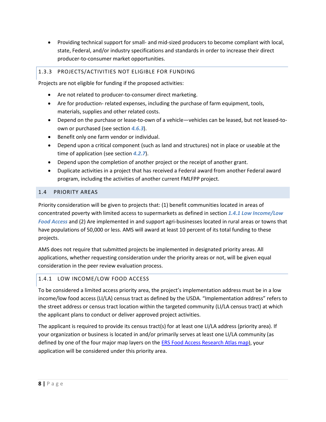• Providing technical support for small- and mid-sized producers to become compliant with local, state, Federal, and/or industry specifications and standards in order to increase their direct producer-to-consumer market opportunities.

### 1.3.3 PROJECTS/ACTIVITIES NOT ELIGIBLE FOR FUNDING

Projects are not eligible for funding if the proposed activities:

- Are not related to producer-to-consumer direct marketing.
- Are for production- related expenses, including the purchase of farm equipment, tools, materials, supplies and other related costs.
- Depend on the purchase or lease-to-own of a vehicle—vehicles can be leased, but not leased-toown or purchased (see section *[4.6.3](#page-18-1)*).
- Benefit only one farm vendor or individual.
- Depend upon a critical component (such as land and structures) not in place or useable at the time of application (see section *[4.2.7](#page-16-0)*).
- Depend upon the completion of another project or the receipt of another grant.
- Duplicate activities in a project that has received a Federal award from another Federal award program, including the activities of another current FMLFPP project.

### <span id="page-7-0"></span>1.4 PRIORITY AREAS

Priority consideration will be given to projects that: (1) benefit communities located in areas of concentrated poverty with limited access to supermarkets as defined in section *[1.4.1](#page-7-1) [Low Income/Low](#page-7-1)  [Food Access](#page-7-1)* and (2) Are implemented in and support agri-businesses located in rural areas or towns that have populations of 50,000 or less. AMS will award at least 10 percent of its total funding to these projects.

AMS does not require that submitted projects be implemented in designated priority areas. All applications, whether requesting consideration under the priority areas or not, will be given equal consideration in the peer review evaluation process.

### <span id="page-7-1"></span>1.4.1 LOW INCOME/LOW FOOD ACCESS

To be considered a limited access priority area, the project's implementation address must be in a low income/low food access (LI/LA) census tract as defined by the USDA. "Implementation address" refers to the street address or census tract location within the targeted community (LI/LA census tract) at which the applicant plans to conduct or deliver approved project activities.

The applicant is required to provide its census tract(s) for at least one LI/LA address (priority area). If your organization or business is located in and/or primarily serves at least one LI/LA community (as defined by one of the four major map layers on the [ERS Food Access Research Atlas map\)](http://www.ers.usda.gov/data-products/food-access-research-atlas/go-to-the-atlas.aspx), your application will be considered under this priority area.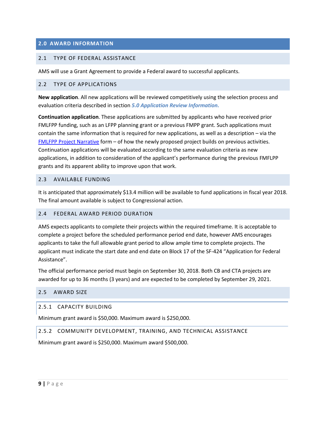### <span id="page-8-0"></span>**2.0 AWARD INFORMATION**

#### <span id="page-8-1"></span>2.1 TYPE OF FEDERAL ASSISTANCE

AMS will use a Grant Agreement to provide a Federal award to successful applicants.

#### <span id="page-8-2"></span>2.2 TYPE OF APPLICATIONS

**New application**. All new applications will be reviewed competitively using the selection process and evaluation criteria described in section *[5.0](#page-29-0) [Application Review Information.](#page-29-0)*

**Continuation application**. These applications are submitted by applicants who have received prior FMLFPP funding, such as an LFPP planning grant or a previous FMPP grant. Such applications must contain the same information that is required for new applications, as well as a description – via the [FMLFPP Project Narrative](https://www.ams.usda.gov/sites/default/files/media/2018FMLFPPProjectNarrative03052018.docx) form – of how the newly proposed project builds on previous activities. Continuation applications will be evaluated according to the same evaluation criteria as new applications, in addition to consideration of the applicant's performance during the previous FMFLPP grants and its apparent ability to improve upon that work.

#### <span id="page-8-3"></span>2.3 AVAILABLE FUNDING

It is anticipated that approximately \$13.4 million will be available to fund applications in fiscal year 2018. The final amount available is subject to Congressional action.

#### <span id="page-8-4"></span>2.4 FEDERAL AWARD PERIOD DURATION

AMS expects applicants to complete their projects within the required timeframe. It is acceptable to complete a project before the scheduled performance period end date, however AMS encourages applicants to take the full allowable grant period to allow ample time to complete projects. The applicant must indicate the start date and end date on Block 17 of the SF-424 "Application for Federal Assistance".

The official performance period must begin on September 30, 2018. Both CB and CTA projects are awarded for up to 36 months (3 years) and are expected to be completed by September 29, 2021.

#### <span id="page-8-5"></span>2.5 AWARD SIZE

#### 2.5.1 CAPACITY BUILDING

Minimum grant award is \$50,000. Maximum award is \$250,000.

#### 2.5.2 COMMUNITY DEVELOPMENT, TRAINING, AND TECHNICAL ASSISTANCE

Minimum grant award is \$250,000. Maximum award \$500,000.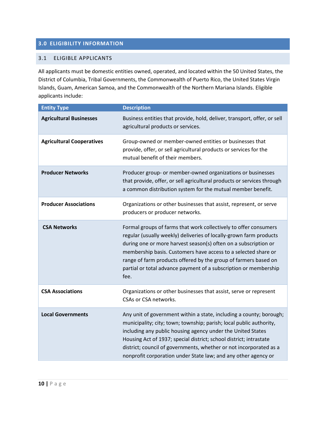### <span id="page-9-0"></span>**3.0 ELIGIBILITY INFORMATION**

#### <span id="page-9-1"></span>3.1 ELIGIBLE APPLICANTS

All applicants must be domestic entities owned, operated, and located within the 50 United States, the District of Columbia, Tribal Governments, the Commonwealth of Puerto Rico, the United States Virgin Islands, Guam, American Samoa, and the Commonwealth of the Northern Mariana Islands. Eligible applicants include:

| <b>Entity Type</b>               | <b>Description</b>                                                                                                                                                                                                                                                                                                                                                                                                         |
|----------------------------------|----------------------------------------------------------------------------------------------------------------------------------------------------------------------------------------------------------------------------------------------------------------------------------------------------------------------------------------------------------------------------------------------------------------------------|
| <b>Agricultural Businesses</b>   | Business entities that provide, hold, deliver, transport, offer, or sell<br>agricultural products or services.                                                                                                                                                                                                                                                                                                             |
| <b>Agricultural Cooperatives</b> | Group-owned or member-owned entities or businesses that<br>provide, offer, or sell agricultural products or services for the<br>mutual benefit of their members.                                                                                                                                                                                                                                                           |
| <b>Producer Networks</b>         | Producer group- or member-owned organizations or businesses<br>that provide, offer, or sell agricultural products or services through<br>a common distribution system for the mutual member benefit.                                                                                                                                                                                                                       |
| <b>Producer Associations</b>     | Organizations or other businesses that assist, represent, or serve<br>producers or producer networks.                                                                                                                                                                                                                                                                                                                      |
| <b>CSA Networks</b>              | Formal groups of farms that work collectively to offer consumers<br>regular (usually weekly) deliveries of locally-grown farm products<br>during one or more harvest season(s) often on a subscription or<br>membership basis. Customers have access to a selected share or<br>range of farm products offered by the group of farmers based on<br>partial or total advance payment of a subscription or membership<br>fee. |
| <b>CSA Associations</b>          | Organizations or other businesses that assist, serve or represent<br>CSAs or CSA networks.                                                                                                                                                                                                                                                                                                                                 |
| <b>Local Governments</b>         | Any unit of government within a state, including a county; borough;<br>municipality; city; town; township; parish; local public authority,<br>including any public housing agency under the United States<br>Housing Act of 1937; special district; school district; intrastate<br>district; council of governments, whether or not incorporated as a<br>nonprofit corporation under State law; and any other agency or    |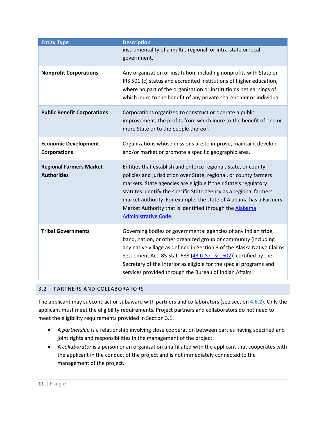| <b>Entity Type</b>                                   | <b>Description</b>                                                                                                                                                                                                                                                                                                                                                                                                                          |
|------------------------------------------------------|---------------------------------------------------------------------------------------------------------------------------------------------------------------------------------------------------------------------------------------------------------------------------------------------------------------------------------------------------------------------------------------------------------------------------------------------|
|                                                      | instrumentality of a multi-, regional, or intra-state or local<br>government.                                                                                                                                                                                                                                                                                                                                                               |
| <b>Nonprofit Corporations</b>                        | Any organization or institution, including nonprofits with State or<br>IRS 501 (c) status and accredited institutions of higher education,<br>where no part of the organization or institution's net earnings of<br>which inure to the benefit of any private shareholder or individual.                                                                                                                                                    |
| <b>Public Benefit Corporations</b>                   | Corporations organized to construct or operate a public<br>improvement, the profits from which inure to the benefit of one or<br>more State or to the people thereof.                                                                                                                                                                                                                                                                       |
| <b>Economic Development</b><br><b>Corporations</b>   | Organizations whose missions are to improve, maintain, develop<br>and/or market or promote a specific geographic area.                                                                                                                                                                                                                                                                                                                      |
| <b>Regional Farmers Market</b><br><b>Authorities</b> | Entities that establish and enforce regional, State, or county<br>policies and jurisdiction over State, regional, or county farmers<br>markets. State agencies are eligible if their State's regulatory<br>statutes identify the specific State agency as a regional farmers<br>market authority. For example, the state of Alabama has a Farmers<br>Market Authority that is identified through the Alabama<br><b>Administrative Code.</b> |
| <b>Tribal Governments</b>                            | Governing bodies or governmental agencies of any Indian tribe,<br>band, nation, or other organized group or community (including<br>any native village as defined in Section 3 of the Alaska Native Claims<br>Settlement Act, 85 Stat. 688 $(43 \text{ U.S.C. } 6 \text{ 1602}))$ certified by the<br>Secretary of the Interior as eligible for the special programs and<br>services provided through the Bureau of Indian Affairs.         |

### <span id="page-10-0"></span>3.2 PARTNERS AND COLLABORATORS

The applicant may subcontract or subaward with partners and collaborators (see section **[4.6.2](#page-18-0)**). Only the applicant must meet the eligibility requirements. Project partners and collaborators do not need to meet the eligibility requirements provided in Section 3.1.

- A *partnership* is a relationship involving close cooperation between parties having specified and joint rights and responsibilities in the management of the project.
- A *collaborator* is a person or an organization unaffiliated with the applicant that cooperates with the applicant in the conduct of the project and is not immediately connected to the management of the project.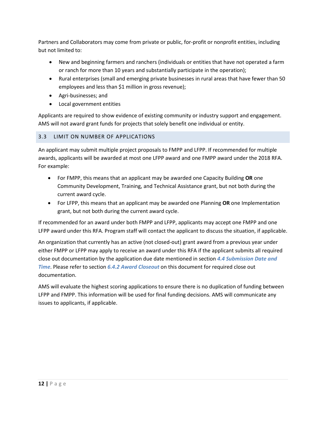Partners and Collaborators may come from private or public, for-profit or nonprofit entities, including but not limited to:

- New and beginning farmers and ranchers (individuals or entities that have not operated a farm or ranch for more than 10 years and substantially participate in the operation);
- Rural enterprises (small and emerging private businesses in rural areas that have fewer than 50 employees and less than \$1 million in gross revenue);
- Agri-businesses; and
- Local government entities

Applicants are required to show evidence of existing community or industry support and engagement. AMS will not award grant funds for projects that solely benefit one individual or entity.

### <span id="page-11-0"></span>3.3 LIMIT ON NUMBER OF APPLICATIONS

An applicant may submit multiple project proposals to FMPP and LFPP. If recommended for multiple awards, applicants will be awarded at most one LFPP award and one FMPP award under the 2018 RFA. For example:

- For FMPP, this means that an applicant may be awarded one Capacity Building **OR** one Community Development, Training, and Technical Assistance grant, but not both during the current award cycle.
- For LFPP, this means that an applicant may be awarded one Planning **OR** one Implementation grant, but not both during the current award cycle.

If recommended for an award under both FMPP and LFPP, applicants may accept one FMPP and one LFPP award under this RFA. Program staff will contact the applicant to discuss the situation, if applicable.

An organization that currently has an active (not closed-out) grant award from a previous year under either FMPP or LFPP may apply to receive an award under this RFA if the applicant submits all required close out documentation by the application due date mentioned in section *[4.4](#page-17-1) [Submission Date and](#page-17-1)  [Time](#page-17-1)*. Please refer to section *[6.4.2](#page-32-2) [Award Closeout](#page-32-2)* on this document for required close out documentation.

AMS will evaluate the highest scoring applications to ensure there is no duplication of funding between LFPP and FMPP. This information will be used for final funding decisions. AMS will communicate any issues to applicants, if applicable.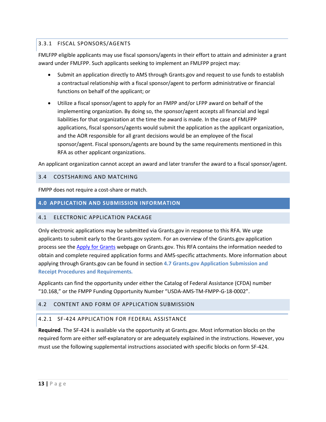### 3.3.1 FISCAL SPONSORS/AGENTS

FMLFPP eligible applicants may use fiscal sponsors/agents in their effort to attain and administer a grant award under FMLFPP. Such applicants seeking to implement an FMLFPP project may:

- Submit an application directly to AMS through Grants.gov and request to use funds to establish a contractual relationship with a fiscal sponsor/agent to perform administrative or financial functions on behalf of the applicant; or
- Utilize a fiscal sponsor/agent to apply for an FMPP and/or LFPP award on behalf of the implementing organization. By doing so, the sponsor/agent accepts all financial and legal liabilities for that organization at the time the award is made. In the case of FMLFPP applications, fiscal sponsors/agents would submit the application as the applicant organization, and the AOR responsible for all grant decisions would be an employee of the fiscal sponsor/agent. Fiscal sponsors/agents are bound by the same requirements mentioned in this RFA as other applicant organizations.

An applicant organization cannot accept an award and later transfer the award to a fiscal sponsor/agent.

#### <span id="page-12-1"></span>3.4 COSTSHARING AND MATCHING

FMPP does not require a cost-share or match.

#### <span id="page-12-2"></span>**4.0 APPLICATION AND SUBMISSION INFORMATION**

### <span id="page-12-3"></span>4.1 ELECTRONIC APPLICATION PACKAGE

Only electronic applications may be submitted via Grants.gov in response to this RFA. We urge applicants to submit early to the Grants.gov system. For an overview of the Grants.gov application process see the [Apply for Grants](http://www.grants.gov/web/grants/applicants/apply-for-grants.html) webpage on Grants.gov. This RFA contains the information needed to obtain and complete required application forms and AMS-specific attachments. More information about applying through Grants.gov can be found in section **4.7 [Grants.gov Application Submission and](#page-25-0)  [Receipt Procedures and Requirements](#page-25-0)***.* 

Applicants can find the opportunity under either the Catalog of Federal Assistance (CFDA) number "10.168," or the FMPP Funding Opportunity Number "USDA-AMS-TM-FMPP-G-18-0002".

### <span id="page-12-0"></span>4.2 CONTENT AND FORM OF APPLICATION SUBMISSION

#### 4.2.1 SF-424 APPLICATION FOR FEDERAL ASSISTANCE

**Required**. The SF-424 is available via the opportunity at Grants.gov. Most information blocks on the required form are either self-explanatory or are adequately explained in the instructions. However, you must use the following supplemental instructions associated with specific blocks on form SF-424.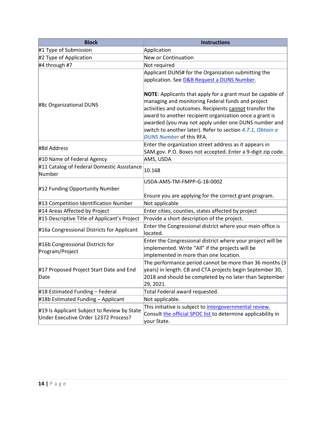| <b>Block</b>                                                                        | <b>Instructions</b>                                                                                                                                                                                                                                                                                                                                                                                                                                             |
|-------------------------------------------------------------------------------------|-----------------------------------------------------------------------------------------------------------------------------------------------------------------------------------------------------------------------------------------------------------------------------------------------------------------------------------------------------------------------------------------------------------------------------------------------------------------|
| #1 Type of Submission                                                               | Application                                                                                                                                                                                                                                                                                                                                                                                                                                                     |
| #2 Type of Application                                                              | New or Continuation                                                                                                                                                                                                                                                                                                                                                                                                                                             |
| #4 through #7                                                                       | Not required                                                                                                                                                                                                                                                                                                                                                                                                                                                    |
|                                                                                     | Applicant DUNS# for the Organization submitting the                                                                                                                                                                                                                                                                                                                                                                                                             |
|                                                                                     | application. See <b>D&amp;B Request a DUNS Number</b> .                                                                                                                                                                                                                                                                                                                                                                                                         |
| #8c Organizational DUNS<br>#8d Address                                              | <b>NOTE:</b> Applicants that apply for a grant must be capable of<br>managing and monitoring Federal funds and project<br>activities and outcomes. Recipients cannot transfer the<br>award to another recipient organization once a grant is<br>awarded (you may not apply under one DUNS number and<br>switch to another later). Refer to section 4.7.1, Obtain a<br><b>DUNS Number of this RFA.</b><br>Enter the organization street address as it appears in |
|                                                                                     | SAM.gov. P.O. Boxes not accepted. Enter a 9-digit zip code.                                                                                                                                                                                                                                                                                                                                                                                                     |
| #10 Name of Federal Agency                                                          | AMS, USDA                                                                                                                                                                                                                                                                                                                                                                                                                                                       |
| #11 Catalog of Federal Domestic Assistance<br>Number                                | 10.168                                                                                                                                                                                                                                                                                                                                                                                                                                                          |
| #12 Funding Opportunity Number                                                      | USDA-AMS-TM-FMPP-G-18-0002<br>Ensure you are applying for the correct grant program.                                                                                                                                                                                                                                                                                                                                                                            |
| #13 Competition Identification Number                                               | Not applicable                                                                                                                                                                                                                                                                                                                                                                                                                                                  |
| #14 Areas Affected by Project                                                       | Enter cities, counties, states affected by project                                                                                                                                                                                                                                                                                                                                                                                                              |
| #15 Descriptive Title of Applicant's Project                                        | Provide a short description of the project.                                                                                                                                                                                                                                                                                                                                                                                                                     |
| #16a Congressional Districts for Applicant                                          | Enter the Congressional district where your main office is<br>located.                                                                                                                                                                                                                                                                                                                                                                                          |
| #16b Congressional Districts for<br>Program/Project                                 | Enter the Congressional district where your project will be<br>implemented. Write "All" if the projects will be<br>implemented in more than one location.                                                                                                                                                                                                                                                                                                       |
| #17 Proposed Project Start Date and End<br>Date                                     | The performance period cannot be more than 36 months (3<br>years) in length. CB and CTA projects begin September 30,<br>2018 and should be completed by no later than September<br>29, 2021.                                                                                                                                                                                                                                                                    |
| #18 Estimated Funding - Federal                                                     | Total Federal award requested.                                                                                                                                                                                                                                                                                                                                                                                                                                  |
| #18b Estimated Funding - Applicant                                                  | Not applicable.                                                                                                                                                                                                                                                                                                                                                                                                                                                 |
| #19 Is Applicant Subject to Review by State<br>Under Executive Order 12372 Process? | This initiative is subject to <i>intergovernmental review</i> .<br>Consult the official SPOC list to determine applicability in<br>your State.                                                                                                                                                                                                                                                                                                                  |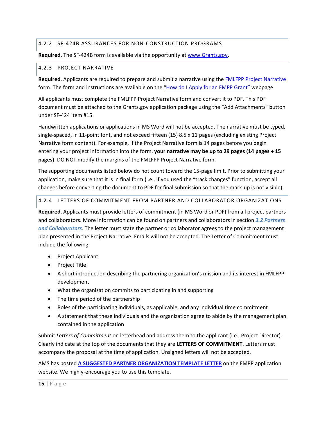### 4.2.2 SF-424B ASSURANCES FOR NON-CONSTRUCTION PROGRAMS

**Required.** The SF-424B form is available via the opportunity a[t www.Grants.gov.](http://www.grants.gov/)

#### 4.2.3 PROJECT NARRATIVE

**Required**. Applicants are required to prepare and submit a narrative using the [FMLFPP Project Narrative](https://www.ams.usda.gov/sites/default/files/media/2018FMLFPPProjectNarrative03052018.docx) form. The form and instructions are available on the ["How do I Apply for an FMPP Grant"](https://www.ams.usda.gov/services/grants/fmpp/how-do-i-apply-fmpp-grant) webpage.

All applicants must complete the FMLFPP Project Narrative form and convert it to PDF. This PDF document must be attached to the Grants.gov application package using the "Add Attachments" button under SF-424 item #15.

Handwritten applications or applications in MS Word will not be accepted. The narrative must be typed, single-spaced, in 11-point font, and not exceed fifteen (15) 8.5 x 11 pages (excluding existing Project Narrative form content). For example, if the Project Narrative form is 14 pages before you begin entering your project information into the form, **your narrative may be up to 29 pages (14 pages + 15 pages)**. DO NOT modify the margins of the FMLFPP Project Narrative form.

The supporting documents listed below do not count toward the 15-page limit. Prior to submitting your application, make sure that it is in final form (i.e., if you used the "track changes" function, accept all changes before converting the document to PDF for final submission so that the mark-up is not visible).

### 4.2.4 LETTERS OF COMMITMENT FROM PARTNER AND COLLABORATOR ORGANIZATIONS

**Required**. Applicants must provide letters of commitment (in MS Word or PDF) from all project partners and collaborators. More information can be found on partners and collaborators in section *[3.2](#page-10-0) [Partners](#page-10-0)  [and Collaborators](#page-10-0)*. The letter must state the partner or collaborator agrees to the project management plan presented in the Project Narrative. Emails will not be accepted. The Letter of Commitment must include the following:

- Project Applicant
- Project Title
- A short introduction describing the partnering organization's mission and its interest in FMLFPP development
- What the organization commits to participating in and supporting
- The time period of the partnership
- Roles of the participating individuals, as applicable, and any individual time commitment
- A statement that these individuals and the organization agree to abide by the management plan contained in the application

Submit *Letters of Commitment* on letterhead and address them to the applicant (i.e., Project Director). Clearly indicate at the top of the documents that they are **LETTERS OF COMMITMENT**. Letters must accompany the proposal at the time of application. Unsigned letters will not be accepted.

AMS has posted **[A SUGGESTED PARTNER ORGANIZATION TEMPLATE LETTER](https://www.ams.usda.gov/sites/default/files/media/Partnering%20Organization%20Template%20Letter.docx)** on the FMPP application website. We highly-encourage you to use this template.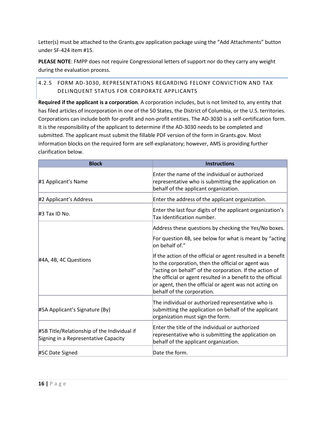Letter(s) must be attached to the Grants.gov application package using the "Add Attachments" button under SF-424 item #15.

**PLEASE NOTE**: FMPP does not require Congressional letters of support nor do they carry any weight during the evaluation process.

### 4.2.5 FORM AD-3030, REPRESENTATIONS REGARDING FELONY CONVICTION AND TAX DELINQUENT STATUS FOR CORPORATE APPLICANTS

**Required if the applicant is a corporation**. A corporation includes, but is not limited to, any entity that has filed articles of incorporation in one of the 50 States, the District of Columbia, or the U.S. territories. Corporations can include both for-profit and non-profit entities. The AD-3030 is a self-certification form. It is the responsibility of the applicant to determine if the AD-3030 needs to be completed and submitted. The applicant must submit the fillable PDF version of the form in Grants.gov. Most information blocks on the required form are self-explanatory; however, AMS is providing further clarification below.

| <b>Block</b>                                                                        | <b>Instructions</b>                                                                                                                                                                                                                                                                                                                  |
|-------------------------------------------------------------------------------------|--------------------------------------------------------------------------------------------------------------------------------------------------------------------------------------------------------------------------------------------------------------------------------------------------------------------------------------|
| #1 Applicant's Name                                                                 | Enter the name of the individual or authorized<br>representative who is submitting the application on<br>behalf of the applicant organization.                                                                                                                                                                                       |
| #2 Applicant's Address                                                              | Enter the address of the applicant organization.                                                                                                                                                                                                                                                                                     |
| #3 Tax ID No.                                                                       | Enter the last four digits of the applicant organization's<br>Tax Identification number.                                                                                                                                                                                                                                             |
|                                                                                     | Address these questions by checking the Yes/No boxes.                                                                                                                                                                                                                                                                                |
|                                                                                     | For question 4B, see below for what is meant by "acting"<br>on behalf of."                                                                                                                                                                                                                                                           |
| #4A, 4B, 4C Questions                                                               | If the action of the official or agent resulted in a benefit<br>to the corporation, then the official or agent was<br>"acting on behalf" of the corporation. If the action of<br>the official or agent resulted in a benefit to the official<br>or agent, then the official or agent was not acting on<br>behalf of the corporation. |
| #5A Applicant's Signature (By)                                                      | The individual or authorized representative who is<br>submitting the application on behalf of the applicant<br>organization must sign the form.                                                                                                                                                                                      |
| #5B Title/Relationship of the Individual if<br>Signing in a Representative Capacity | Enter the title of the individual or authorized<br>representative who is submitting the application on<br>behalf of the applicant organization.                                                                                                                                                                                      |
| #5C Date Signed                                                                     | Date the form.                                                                                                                                                                                                                                                                                                                       |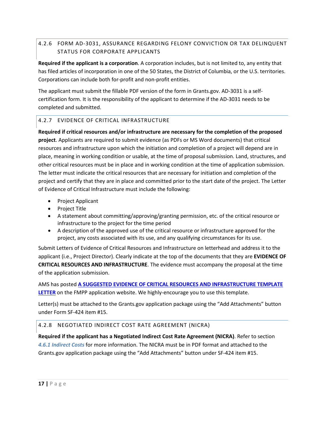### 4.2.6 FORM AD-3031, ASSURANCE REGARDING FELONY CONVICTION OR TAX DELINQUENT STATUS FOR CORPORATE APPLICANTS

**Required if the applicant is a corporation**. A corporation includes, but is not limited to, any entity that has filed articles of incorporation in one of the 50 States, the District of Columbia, or the U.S. territories. Corporations can include both for-profit and non-profit entities.

The applicant must submit the fillable PDF version of the form in Grants.gov. AD-3031 is a selfcertification form. It is the responsibility of the applicant to determine if the AD-3031 needs to be completed and submitted.

### <span id="page-16-0"></span>4.2.7 EVIDENCE OF CRITICAL INFRASTRUCTURE

**Required if critical resources and/or infrastructure are necessary for the completion of the proposed project**. Applicants are required to submit evidence (as PDFs or MS Word documents) that critical resources and infrastructure upon which the initiation and completion of a project will depend are in place, meaning in working condition or usable, at the time of proposal submission. Land, structures, and other critical resources must be in place and in working condition at the time of application submission. The letter must indicate the critical resources that are necessary for initiation and completion of the project and certify that they are in place and committed prior to the start date of the project. The Letter of Evidence of Critical Infrastructure must include the following:

- Project Applicant
- Project Title
- A statement about committing/approving/granting permission, etc. of the critical resource or infrastructure to the project for the time period
- A description of the approved use of the critical resource or infrastructure approved for the project, any costs associated with its use, and any qualifying circumstances for its use.

Submit Letters of Evidence of Critical Resources and Infrastructure on letterhead and address it to the applicant (i.e., Project Director). Clearly indicate at the top of the documents that they are **EVIDENCE OF CRITICAL RESOURCES AND INFRASTRUCTURE**. The evidence must accompany the proposal at the time of the application submission.

AMS has posted **[A SUGGESTED EVIDENCE OF CRITICAL RESOURCES AND INFRASTRUCTURE TEMPLATE](https://www.ams.usda.gov/sites/default/files/media/Critical%20Resource-Infrastructure%20Template%20Letter.docx)  [LETTER](https://www.ams.usda.gov/sites/default/files/media/Critical%20Resource-Infrastructure%20Template%20Letter.docx)** on the FMPP application website. We highly-encourage you to use this template.

Letter(s) must be attached to the Grants.gov application package using the "Add Attachments" button under Form SF-424 item #15.

### 4.2.8 NEGOTIATED INDIRECT COST RATE AGREEMENT (NICRA)

**Required if the applicant has a Negotiated Indirect Cost Rate Agreement (NICRA)**. Refer to section *[4.6.1](#page-17-4) [Indirect Costs](#page-17-4)* for more information. The NICRA must be in PDF format and attached to the Grants.gov application package using the "Add Attachments" button under SF-424 item #15.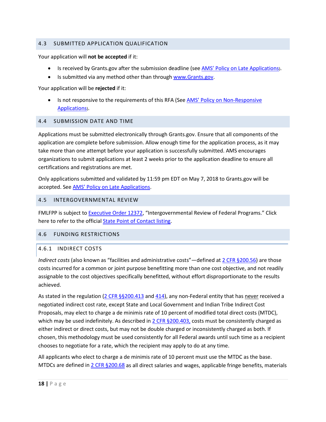#### <span id="page-17-0"></span>4.3 SUBMITTED APPLICATION QUALIFICATION

Your application will **not be accepted** if it:

- Is received by Grants.gov after the submission deadline (se[e AMS' Policy on Late Applications\)](https://www.ams.usda.gov/sites/default/files/media/AMSPolicyonConsiderationofLateNonresponsiveApplications.pdf).
- Is submitted via any method other than through [www.Grants.gov.](http://www.grants.gov/)

Your application will be **rejected** if it:

• Is not responsive to the requirements of this RFA (See **AMS' Policy on Non-Responsive** [Applications\)](https://www.ams.usda.gov/sites/default/files/media/AMSPolicyonConsiderationofLateNonresponsiveApplications.pdf).

#### <span id="page-17-1"></span>4.4 SUBMISSION DATE AND TIME

Applications must be submitted electronically through Grants.gov. Ensure that all components of the application are complete before submission. Allow enough time for the application process, as it may take more than one attempt before your application is successfully submitted. AMS encourages organizations to submit applications at least 2 weeks prior to the application deadline to ensure all certifications and registrations are met.

Only applications submitted and validated by 11:59 pm EDT on May 7, 2018 to Grants.gov will be accepted. Se[e AMS' Policy on Late Applications.](https://www.ams.usda.gov/sites/default/files/media/AMSPolicyonConsiderationofLateNonresponsiveApplications.pdf)

#### <span id="page-17-2"></span>4.5 INTERGOVERNMENTAL REVIEW

<span id="page-17-3"></span>FMLFPP is subject to **Executive Order 12372**, "Intergovernmental Review of Federal Programs." Click here to refer to the officia[l State Point of Contact listing.](https://www.whitehouse.gov/wp-content/uploads/2017/11/Intergovernmental_-Review-_SPOC_01_2018_OFFM.pdf)

#### 4.6 FUNDING RESTRICTIONS

#### <span id="page-17-4"></span>4.6.1 INDIRECT COSTS

*Indirect costs* (also known as "facilities and administrative costs"—defined at [2 CFR §200.56\)](http://www.ecfr.gov/cgi-bin/text-idx?node=2:1.1.2.2.1&rgn=div5#se2.1.200_156) are those costs incurred for a common or joint purpose benefitting more than one cost objective, and not readily assignable to the cost objectives specifically benefitted, without effort disproportionate to the results achieved.

As stated in the regulation  $(2 \text{ CFR } \frac{56200.413}{2} \text{ and } \frac{414}{2})$ , any non-Federal entity that has never received a negotiated indirect cost rate, except State and Local Government and Indian Tribe Indirect Cost Proposals, may elect to charge a de minimis rate of 10 percent of modified total direct costs (MTDC), which may be used indefinitely. As described in  $2$  CFR  $\S 200.403$ , costs must be consistently charged as either indirect or direct costs, but may not be double charged or inconsistently charged as both. If chosen, this methodology must be used consistently for all Federal awards until such time as a recipient chooses to negotiate for a rate, which the recipient may apply to do at any time.

All applicants who elect to charge a de minimis rate of 10 percent must use the MTDC as the base. MTDCs are defined in  $2$  CFR  $\S 200.68$  as all direct salaries and wages, applicable fringe benefits, materials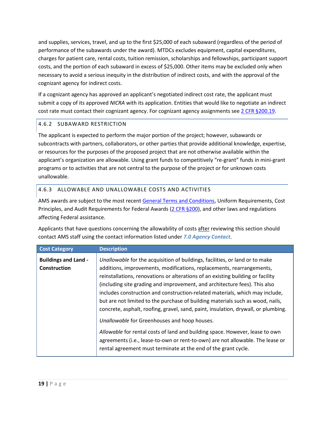and supplies, services, travel, and up to the first \$25,000 of each subaward (regardless of the period of performance of the subawards under the award). MTDCs excludes equipment, capital expenditures, charges for patient care, rental costs, tuition remission, scholarships and fellowships, participant support costs, and the portion of each subaward in excess of \$25,000. Other items may be excluded only when necessary to avoid a serious inequity in the distribution of indirect costs, and with the approval of the cognizant agency for indirect costs.

If a cognizant agency has approved an applicant's negotiated indirect cost rate, the applicant must submit a copy of its approved *NICRA* with its application. Entities that would like to negotiate an indirect cost rate must contact their cognizant agency. For cognizant agency assignments se[e 2 CFR §200.19.](http://www.ecfr.gov/cgi-bin/text-idx?SID=b604d136261e7179f37dcd8b28d0e921&mc=true&node=pt2.1.200&rgn=div5#se2.1.200_1306)

### <span id="page-18-0"></span>4.6.2 SUBAWARD RESTRICTION

The applicant is expected to perform the major portion of the project; however, subawards or subcontracts with partners, collaborators, or other parties that provide additional knowledge, expertise, or resources for the purposes of the proposed project that are not otherwise available within the applicant's organization are allowable. Using grant funds to competitively "re-grant" funds in mini-grant programs or to activities that are not central to the purpose of the project or for unknown costs unallowable.

### <span id="page-18-1"></span>4.6.3 ALLOWABLE AND UNALLOWABLE COSTS AND ACTIVITIES

AMS awards are subject to the most recent [General Terms and Conditions,](https://www.ams.usda.gov/sites/default/files/media/AMSGrantsTermsandConditions.pdf) Uniform Requirements, Cost Principles, and Audit Requirements for Federal Awards [\(2 CFR §200\)](https://www.ecfr.gov/cgi-bin/retrieveECFR?gp=&SID=988467ba214fbb07298599affd94f30a&n=pt2.1.200&r=PART&ty=HTML), and other laws and regulations affecting Federal assistance.

Applicants that have questions concerning the allowability of costs after reviewing this section should contact AMS staff using the contact information listed under *[7.0 Agency Contact](#page-33-0)*.

| <b>Cost Category</b>                        | <b>Description</b>                                                                                                                                                                                                                                                                                                                                                                                                                                                                                                                                                             |
|---------------------------------------------|--------------------------------------------------------------------------------------------------------------------------------------------------------------------------------------------------------------------------------------------------------------------------------------------------------------------------------------------------------------------------------------------------------------------------------------------------------------------------------------------------------------------------------------------------------------------------------|
| <b>Buildings and Land -</b><br>Construction | Unallowable for the acquisition of buildings, facilities, or land or to make<br>additions, improvements, modifications, replacements, rearrangements,<br>reinstallations, renovations or alterations of an existing building or facility<br>(including site grading and improvement, and architecture fees). This also<br>includes construction and construction-related materials, which may include,<br>but are not limited to the purchase of building materials such as wood, nails,<br>concrete, asphalt, roofing, gravel, sand, paint, insulation, drywall, or plumbing. |
|                                             | Unallowable for Greenhouses and hoop houses.<br>Allowable for rental costs of land and building space. However, lease to own<br>agreements (i.e., lease-to-own or rent-to-own) are not allowable. The lease or<br>rental agreement must terminate at the end of the grant cycle.                                                                                                                                                                                                                                                                                               |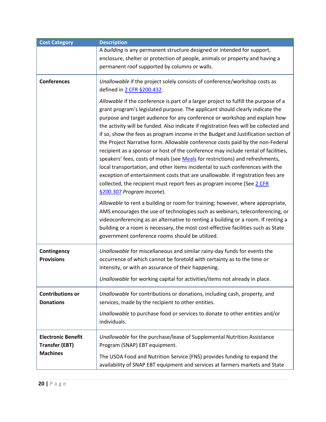<span id="page-19-0"></span>

| <b>Cost Category</b>                                                  | <b>Description</b>                                                                                                                                                                                                                                                                                                                                                                                                                                                                                                                                                                                                                                                                                                                                                                                                                                                                                                                                                   |
|-----------------------------------------------------------------------|----------------------------------------------------------------------------------------------------------------------------------------------------------------------------------------------------------------------------------------------------------------------------------------------------------------------------------------------------------------------------------------------------------------------------------------------------------------------------------------------------------------------------------------------------------------------------------------------------------------------------------------------------------------------------------------------------------------------------------------------------------------------------------------------------------------------------------------------------------------------------------------------------------------------------------------------------------------------|
|                                                                       | A building is any permanent structure designed or intended for support,<br>enclosure, shelter or protection of people, animals or property and having a<br>permanent roof supported by columns or walls.                                                                                                                                                                                                                                                                                                                                                                                                                                                                                                                                                                                                                                                                                                                                                             |
| <b>Conferences</b>                                                    | Unallowable if the project solely consists of conference/workshop costs as<br>defined in 2 CFR §200.432.                                                                                                                                                                                                                                                                                                                                                                                                                                                                                                                                                                                                                                                                                                                                                                                                                                                             |
|                                                                       | Allowable if the conference is part of a larger project to fulfill the purpose of a<br>grant program's legislated purpose. The applicant should clearly indicate the<br>purpose and target audience for any conference or workshop and explain how<br>the activity will be funded. Also indicate if registration fees will be collected and<br>if so, show the fees as program income in the Budget and Justification section of<br>the Project Narrative form. Allowable conference costs paid by the non-Federal<br>recipient as a sponsor or host of the conference may include rental of facilities,<br>speakers' fees, costs of meals (see Meals for restrictions) and refreshments,<br>local transportation, and other items incidental to such conferences with the<br>exception of entertainment costs that are unallowable. If registration fees are<br>collected, the recipient must report fees as program income (See 2 CFR<br>§200.307 Program Income). |
|                                                                       | Allowable to rent a building or room for training; however, where appropriate,<br>AMS encourages the use of technologies such as webinars, teleconferencing, or<br>videoconferencing as an alternative to renting a building or a room. If renting a<br>building or a room is necessary, the most cost-effective facilities such as State<br>government conference rooms should be utilized.                                                                                                                                                                                                                                                                                                                                                                                                                                                                                                                                                                         |
| Contingency<br><b>Provisions</b>                                      | Unallowable for miscellaneous and similar rainy-day funds for events the<br>occurrence of which cannot be foretold with certainty as to the time or<br>intensity, or with an assurance of their happening.                                                                                                                                                                                                                                                                                                                                                                                                                                                                                                                                                                                                                                                                                                                                                           |
|                                                                       | Unallowable for working capital for activities/items not already in place.                                                                                                                                                                                                                                                                                                                                                                                                                                                                                                                                                                                                                                                                                                                                                                                                                                                                                           |
| <b>Contributions or</b><br><b>Donations</b>                           | Unallowable for contributions or donations, including cash, property, and<br>services, made by the recipient to other entities.<br>Unallowable to purchase food or services to donate to other entities and/or<br>individuals.                                                                                                                                                                                                                                                                                                                                                                                                                                                                                                                                                                                                                                                                                                                                       |
| <b>Electronic Benefit</b><br><b>Transfer (EBT)</b><br><b>Machines</b> | Unallowable for the purchase/lease of Supplemental Nutrition Assistance<br>Program (SNAP) EBT equipment.<br>The USDA Food and Nutrition Service (FNS) provides funding to expand the<br>availability of SNAP EBT equipment and services at farmers markets and State                                                                                                                                                                                                                                                                                                                                                                                                                                                                                                                                                                                                                                                                                                 |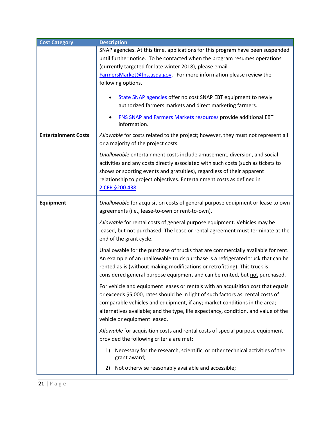| <b>Cost Category</b>       | <b>Description</b>                                                                 |
|----------------------------|------------------------------------------------------------------------------------|
|                            | SNAP agencies. At this time, applications for this program have been suspended     |
|                            | until further notice. To be contacted when the program resumes operations          |
|                            | (currently targeted for late winter 2018), please email                            |
|                            | FarmersMarket@fns.usda.gov For more information please review the                  |
|                            | following options.                                                                 |
|                            |                                                                                    |
|                            | State SNAP agencies offer no cost SNAP EBT equipment to newly                      |
|                            | authorized farmers markets and direct marketing farmers.                           |
|                            | <b>FNS SNAP and Farmers Markets resources provide additional EBT</b>               |
|                            | information.                                                                       |
| <b>Entertainment Costs</b> | Allowable for costs related to the project; however, they must not represent all   |
|                            | or a majority of the project costs.                                                |
|                            |                                                                                    |
|                            | Unallowable entertainment costs include amusement, diversion, and social           |
|                            | activities and any costs directly associated with such costs (such as tickets to   |
|                            | shows or sporting events and gratuities), regardless of their apparent             |
|                            | relationship to project objectives. Entertainment costs as defined in              |
|                            | 2 CFR §200.438                                                                     |
|                            |                                                                                    |
| Equipment                  | Unallowable for acquisition costs of general purpose equipment or lease to own     |
|                            | agreements (i.e., lease-to-own or rent-to-own).                                    |
|                            | Allowable for rental costs of general purpose equipment. Vehicles may be           |
|                            | leased, but not purchased. The lease or rental agreement must terminate at the     |
|                            | end of the grant cycle.                                                            |
|                            | Unallowable for the purchase of trucks that are commercially available for rent.   |
|                            | An example of an unallowable truck purchase is a refrigerated truck that can be    |
|                            | rented as-is (without making modifications or retrofitting). This truck is         |
|                            | considered general purpose equipment and can be rented, but not purchased.         |
|                            |                                                                                    |
|                            | For vehicle and equipment leases or rentals with an acquisition cost that equals   |
|                            | or exceeds \$5,000, rates should be in light of such factors as: rental costs of   |
|                            | comparable vehicles and equipment, if any; market conditions in the area;          |
|                            | alternatives available; and the type, life expectancy, condition, and value of the |
|                            | vehicle or equipment leased.                                                       |
|                            | Allowable for acquisition costs and rental costs of special purpose equipment      |
|                            | provided the following criteria are met:                                           |
|                            | Necessary for the research, scientific, or other technical activities of the<br>1) |
|                            | grant award;                                                                       |
|                            | Not otherwise reasonably available and accessible;<br>2)                           |
|                            |                                                                                    |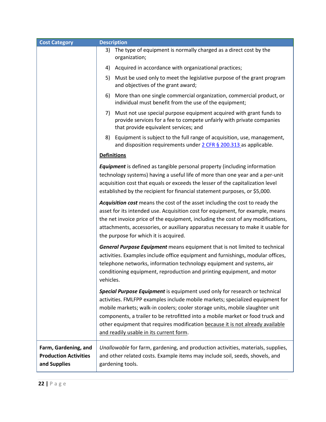| <b>Cost Category</b>                                                 | <b>Description</b>                                                                                                                                                                                                                                                                                                                                                                                                                                         |  |
|----------------------------------------------------------------------|------------------------------------------------------------------------------------------------------------------------------------------------------------------------------------------------------------------------------------------------------------------------------------------------------------------------------------------------------------------------------------------------------------------------------------------------------------|--|
|                                                                      | The type of equipment is normally charged as a direct cost by the<br>3)<br>organization;                                                                                                                                                                                                                                                                                                                                                                   |  |
|                                                                      | Acquired in accordance with organizational practices;<br>4)                                                                                                                                                                                                                                                                                                                                                                                                |  |
|                                                                      | 5) Must be used only to meet the legislative purpose of the grant program<br>and objectives of the grant award;                                                                                                                                                                                                                                                                                                                                            |  |
|                                                                      | More than one single commercial organization, commercial product, or<br>6)<br>individual must benefit from the use of the equipment;                                                                                                                                                                                                                                                                                                                       |  |
|                                                                      | Must not use special purpose equipment acquired with grant funds to<br>7)<br>provide services for a fee to compete unfairly with private companies<br>that provide equivalent services; and                                                                                                                                                                                                                                                                |  |
|                                                                      | Equipment is subject to the full range of acquisition, use, management,<br>8)<br>and disposition requirements under 2 CFR § 200.313 as applicable.                                                                                                                                                                                                                                                                                                         |  |
|                                                                      | <b>Definitions</b>                                                                                                                                                                                                                                                                                                                                                                                                                                         |  |
|                                                                      | <b>Equipment</b> is defined as tangible personal property (including information<br>technology systems) having a useful life of more than one year and a per-unit<br>acquisition cost that equals or exceeds the lesser of the capitalization level<br>established by the recipient for financial statement purposes, or \$5,000.                                                                                                                          |  |
|                                                                      | Acquisition cost means the cost of the asset including the cost to ready the<br>asset for its intended use. Acquisition cost for equipment, for example, means<br>the net invoice price of the equipment, including the cost of any modifications,<br>attachments, accessories, or auxiliary apparatus necessary to make it usable for<br>the purpose for which it is acquired.                                                                            |  |
|                                                                      | General Purpose Equipment means equipment that is not limited to technical<br>activities. Examples include office equipment and furnishings, modular offices,<br>telephone networks, information technology equipment and systems, air<br>conditioning equipment, reproduction and printing equipment, and motor<br>vehicles.                                                                                                                              |  |
|                                                                      | Special Purpose Equipment is equipment used only for research or technical<br>activities. FMLFPP examples include mobile markets; specialized equipment for<br>mobile markets; walk-in coolers; cooler storage units, mobile slaughter unit<br>components, a trailer to be retrofitted into a mobile market or food truck and<br>other equipment that requires modification because it is not already available<br>and readily usable in its current form. |  |
| Farm, Gardening, and<br><b>Production Activities</b><br>and Supplies | Unallowable for farm, gardening, and production activities, materials, supplies,<br>and other related costs. Example items may include soil, seeds, shovels, and<br>gardening tools.                                                                                                                                                                                                                                                                       |  |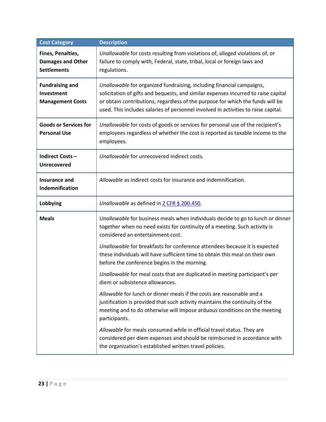<span id="page-22-0"></span>

| <b>Cost Category</b>                                                | <b>Description</b>                                                                                                                                                                                                                                                                                                                  |
|---------------------------------------------------------------------|-------------------------------------------------------------------------------------------------------------------------------------------------------------------------------------------------------------------------------------------------------------------------------------------------------------------------------------|
| Fines, Penalties,<br><b>Damages and Other</b><br><b>Settlements</b> | Unallowable for costs resulting from violations of, alleged violations of, or<br>failure to comply with, Federal, state, tribal, local or foreign laws and<br>regulations.                                                                                                                                                          |
| <b>Fundraising and</b><br>Investment<br><b>Management Costs</b>     | Unallowable for organized fundraising, including financial campaigns,<br>solicitation of gifts and bequests, and similar expenses incurred to raise capital<br>or obtain contributions, regardless of the purpose for which the funds will be<br>used. This includes salaries of personnel involved in activities to raise capital. |
| <b>Goods or Services for</b><br><b>Personal Use</b>                 | Unallowable for costs of goods or services for personal use of the recipient's<br>employees regardless of whether the cost is reported as taxable income to the<br>employees.                                                                                                                                                       |
| <b>Indirect Costs-</b><br>Unrecovered                               | Unallowable for unrecovered indirect costs.                                                                                                                                                                                                                                                                                         |
| Insurance and<br>Indemnification                                    | Allowable as indirect costs for insurance and indemnification.                                                                                                                                                                                                                                                                      |
| Lobbying                                                            | Unallowable as defined in 2 CFR § 200.450.                                                                                                                                                                                                                                                                                          |
| <b>Meals</b>                                                        | Unallowable for business meals when individuals decide to go to lunch or dinner<br>together when no need exists for continuity of a meeting. Such activity is<br>considered an entertainment cost.                                                                                                                                  |
|                                                                     | Unallowable for breakfasts for conference attendees because it is expected<br>these individuals will have sufficient time to obtain this meal on their own<br>before the conference begins in the morning.                                                                                                                          |
|                                                                     | Unallowable for meal costs that are duplicated in meeting participant's per<br>diem or subsistence allowances.                                                                                                                                                                                                                      |
|                                                                     | Allowable for lunch or dinner meals if the costs are reasonable and a<br>justification is provided that such activity maintains the continuity of the<br>meeting and to do otherwise will impose arduous conditions on the meeting<br>participants.                                                                                 |
|                                                                     | Allowable for meals consumed while in official travel status. They are<br>considered per diem expenses and should be reimbursed in accordance with<br>the organization's established written travel policies.                                                                                                                       |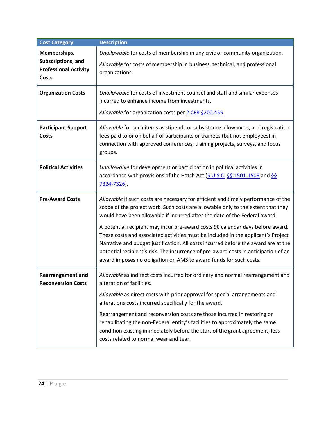| <b>Cost Category</b>                                               | <b>Description</b>                                                                                                                                                                                                                                                                                                                                                                                                    |
|--------------------------------------------------------------------|-----------------------------------------------------------------------------------------------------------------------------------------------------------------------------------------------------------------------------------------------------------------------------------------------------------------------------------------------------------------------------------------------------------------------|
| Memberships,                                                       | Unallowable for costs of membership in any civic or community organization.                                                                                                                                                                                                                                                                                                                                           |
| Subscriptions, and<br><b>Professional Activity</b><br><b>Costs</b> | Allowable for costs of membership in business, technical, and professional<br>organizations.                                                                                                                                                                                                                                                                                                                          |
|                                                                    |                                                                                                                                                                                                                                                                                                                                                                                                                       |
| <b>Organization Costs</b>                                          | Unallowable for costs of investment counsel and staff and similar expenses<br>incurred to enhance income from investments.                                                                                                                                                                                                                                                                                            |
|                                                                    | Allowable for organization costs per 2 CFR §200.455.                                                                                                                                                                                                                                                                                                                                                                  |
| <b>Participant Support</b><br><b>Costs</b>                         | Allowable for such items as stipends or subsistence allowances, and registration<br>fees paid to or on behalf of participants or trainees (but not employees) in<br>connection with approved conferences, training projects, surveys, and focus<br>groups.                                                                                                                                                            |
| <b>Political Activities</b>                                        | Unallowable for development or participation in political activities in<br>accordance with provisions of the Hatch Act (5 U.S.C. §§ 1501-1508 and §§<br>7324-7326).                                                                                                                                                                                                                                                   |
| <b>Pre-Award Costs</b>                                             | Allowable if such costs are necessary for efficient and timely performance of the<br>scope of the project work. Such costs are allowable only to the extent that they<br>would have been allowable if incurred after the date of the Federal award.                                                                                                                                                                   |
|                                                                    | A potential recipient may incur pre-award costs 90 calendar days before award.<br>These costs and associated activities must be included in the applicant's Project<br>Narrative and budget justification. All costs incurred before the award are at the<br>potential recipient's risk. The incurrence of pre-award costs in anticipation of an<br>award imposes no obligation on AMS to award funds for such costs. |
| <b>Rearrangement and</b><br><b>Reconversion Costs</b>              | Allowable as indirect costs incurred for ordinary and normal rearrangement and<br>alteration of facilities.                                                                                                                                                                                                                                                                                                           |
|                                                                    | Allowable as direct costs with prior approval for special arrangements and<br>alterations costs incurred specifically for the award.                                                                                                                                                                                                                                                                                  |
|                                                                    | Rearrangement and reconversion costs are those incurred in restoring or<br>rehabilitating the non-Federal entity's facilities to approximately the same<br>condition existing immediately before the start of the grant agreement, less<br>costs related to normal wear and tear.                                                                                                                                     |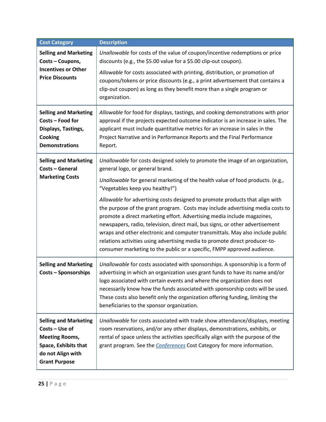| <b>Cost Category</b>                                                                                                                         | <b>Description</b>                                                                                                                                                                                                                                                                                                                                                                                                                                                                                                                                                    |  |
|----------------------------------------------------------------------------------------------------------------------------------------------|-----------------------------------------------------------------------------------------------------------------------------------------------------------------------------------------------------------------------------------------------------------------------------------------------------------------------------------------------------------------------------------------------------------------------------------------------------------------------------------------------------------------------------------------------------------------------|--|
| <b>Selling and Marketing</b><br>Costs - Coupons,<br><b>Incentives or Other</b><br><b>Price Discounts</b>                                     | Unallowable for costs of the value of coupon/incentive redemptions or price<br>discounts (e.g., the \$5.00 value for a \$5.00 clip-out coupon).                                                                                                                                                                                                                                                                                                                                                                                                                       |  |
|                                                                                                                                              | Allowable for costs associated with printing, distribution, or promotion of<br>coupons/tokens or price discounts (e.g., a print advertisement that contains a<br>clip-out coupon) as long as they benefit more than a single program or<br>organization.                                                                                                                                                                                                                                                                                                              |  |
| <b>Selling and Marketing</b><br>Costs - Food for<br>Displays, Tastings,<br><b>Cooking</b><br><b>Demonstrations</b>                           | Allowable for food for displays, tastings, and cooking demonstrations with prior<br>approval if the projects expected outcome indicator is an increase in sales. The<br>applicant must include quantitative metrics for an increase in sales in the<br>Project Narrative and in Performance Reports and the Final Performance<br>Report.                                                                                                                                                                                                                              |  |
| <b>Selling and Marketing</b><br>Costs - General<br><b>Marketing Costs</b>                                                                    | Unallowable for costs designed solely to promote the image of an organization,<br>general logo, or general brand.                                                                                                                                                                                                                                                                                                                                                                                                                                                     |  |
|                                                                                                                                              | Unallowable for general marketing of the health value of food products. (e.g.,<br>"Vegetables keep you healthy!")                                                                                                                                                                                                                                                                                                                                                                                                                                                     |  |
|                                                                                                                                              | Allowable for advertising costs designed to promote products that align with<br>the purpose of the grant program. Costs may include advertising media costs to<br>promote a direct marketing effort. Advertising media include magazines,<br>newspapers, radio, television, direct mail, bus signs, or other advertisement<br>wraps and other electronic and computer transmittals. May also include public<br>relations activities using advertising media to promote direct producer-to-<br>consumer marketing to the public or a specific, FMPP approved audience. |  |
| <b>Selling and Marketing</b><br><b>Costs - Sponsorships</b>                                                                                  | Unallowable for costs associated with sponsorships. A sponsorship is a form of<br>advertising in which an organization uses grant funds to have its name and/or<br>logo associated with certain events and where the organization does not<br>necessarily know how the funds associated with sponsorship costs will be used.<br>These costs also benefit only the organization offering funding, limiting the<br>beneficiaries to the sponsor organization.                                                                                                           |  |
| <b>Selling and Marketing</b><br>Costs - Use of<br><b>Meeting Rooms,</b><br>Space, Exhibits that<br>do not Align with<br><b>Grant Purpose</b> | Unallowable for costs associated with trade show attendance/displays, meeting<br>room reservations, and/or any other displays, demonstrations, exhibits, or<br>rental of space unless the activities specifically align with the purpose of the<br>grant program. See the <b>Conferences</b> Cost Category for more information.                                                                                                                                                                                                                                      |  |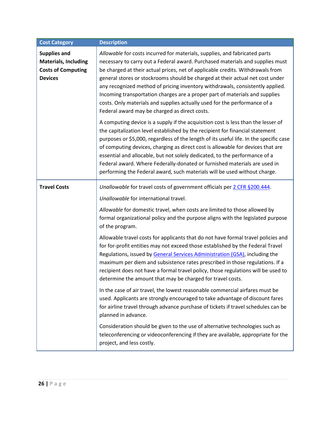<span id="page-25-0"></span>

| <b>Cost Category</b>                                                                              | <b>Description</b>                                                                                                                                                                                                                                                                                                                                                                                                                                                                                                                                                                                                           |  |
|---------------------------------------------------------------------------------------------------|------------------------------------------------------------------------------------------------------------------------------------------------------------------------------------------------------------------------------------------------------------------------------------------------------------------------------------------------------------------------------------------------------------------------------------------------------------------------------------------------------------------------------------------------------------------------------------------------------------------------------|--|
| <b>Supplies and</b><br><b>Materials, Including</b><br><b>Costs of Computing</b><br><b>Devices</b> | Allowable for costs incurred for materials, supplies, and fabricated parts<br>necessary to carry out a Federal award. Purchased materials and supplies must<br>be charged at their actual prices, net of applicable credits. Withdrawals from<br>general stores or stockrooms should be charged at their actual net cost under<br>any recognized method of pricing inventory withdrawals, consistently applied.<br>Incoming transportation charges are a proper part of materials and supplies<br>costs. Only materials and supplies actually used for the performance of a<br>Federal award may be charged as direct costs. |  |
|                                                                                                   | A computing device is a supply if the acquisition cost is less than the lesser of<br>the capitalization level established by the recipient for financial statement<br>purposes or \$5,000, regardless of the length of its useful life. In the specific case<br>of computing devices, charging as direct cost is allowable for devices that are<br>essential and allocable, but not solely dedicated, to the performance of a<br>Federal award. Where Federally-donated or furnished materials are used in<br>performing the Federal award, such materials will be used without charge.                                      |  |
| <b>Travel Costs</b>                                                                               | Unallowable for travel costs of government officials per 2 CFR §200.444.                                                                                                                                                                                                                                                                                                                                                                                                                                                                                                                                                     |  |
|                                                                                                   | Unallowable for international travel.                                                                                                                                                                                                                                                                                                                                                                                                                                                                                                                                                                                        |  |
|                                                                                                   | Allowable for domestic travel, when costs are limited to those allowed by<br>formal organizational policy and the purpose aligns with the legislated purpose<br>of the program.                                                                                                                                                                                                                                                                                                                                                                                                                                              |  |
|                                                                                                   | Allowable travel costs for applicants that do not have formal travel policies and<br>for for-profit entities may not exceed those established by the Federal Travel<br>Regulations, issued by General Services Administration (GSA), including the<br>maximum per diem and subsistence rates prescribed in those regulations. If a<br>recipient does not have a formal travel policy, those regulations will be used to<br>determine the amount that may be charged for travel costs.                                                                                                                                        |  |
|                                                                                                   | In the case of air travel, the lowest reasonable commercial airfares must be<br>used. Applicants are strongly encouraged to take advantage of discount fares<br>for airline travel through advance purchase of tickets if travel schedules can be<br>planned in advance.                                                                                                                                                                                                                                                                                                                                                     |  |
|                                                                                                   | Consideration should be given to the use of alternative technologies such as<br>teleconferencing or videoconferencing if they are available, appropriate for the<br>project, and less costly.                                                                                                                                                                                                                                                                                                                                                                                                                                |  |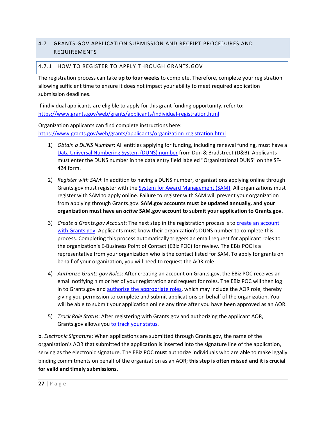### 4.7 GRANTS.GOV APPLICATION SUBMISSION AND RECEIPT PROCEDURES AND REQUIREMENTS

### <span id="page-26-0"></span>4.7.1 HOW TO REGISTER TO APPLY THROUGH GRANTS.GOV

The registration process can take **up to four weeks** to complete. Therefore, complete your registration allowing sufficient time to ensure it does not impact your ability to meet required application submission deadlines.

If individual applicants are eligible to apply for this grant funding opportunity, refer to: <https://www.grants.gov/web/grants/applicants/individual-registration.html>

Organization applicants can find complete instructions here: <https://www.grants.gov/web/grants/applicants/organization-registration.html>

- 1) *Obtain a DUNS Number*: All entities applying for funding, including renewal funding, must have a [Data Universal Numbering System \(DUNS\) number](https://www.grants.gov/web/grants/applicants/organization-registration/step-1-obtain-duns-number.html) from Dun & Bradstreet (D&B). Applicants must enter the DUNS number in the data entry field labeled "Organizational DUNS" on the SF-424 form.
- 2) *Register with SAM*: In addition to having a DUNS number, organizations applying online through Grants.gov must register with th[e System for Award Management \(SAM\).](https://www.grants.gov/web/grants/applicants/organization-registration/step-2-register-with-sam.html) All organizations must register with SAM to apply online. Failure to register with SAM will prevent your organization from applying through Grants.gov. **SAM.gov accounts must be updated annually, and your organization must have an** *active* **SAM.gov account to submit your application to Grants.gov.**
- 3) *Create a Grants.gov Account*: The next step in the registration process is t[o create an account](https://www.grants.gov/web/grants/applicants/organization-registration/step-3-username-password.html)  [with Grants.gov.](https://www.grants.gov/web/grants/applicants/organization-registration/step-3-username-password.html) Applicants must know their organization's DUNS number to complete this process. Completing this process automatically triggers an email request for applicant roles to the organization's E-Business Point of Contact (EBiz POC) for review. The EBiz POC is a representative from your organization who is the contact listed for SAM. To apply for grants on behalf of your organization, you will need to request the AOR role.
- 4) *Authorize Grants.gov Roles*: After creating an account on Grants.gov, the EBiz POC receives an email notifying him or her of your registration and request for roles. The EBiz POC will then log in to Grants.gov and [authorize the appropriate roles,](https://www.grants.gov/web/grants/applicants/organization-registration/step-4-aor-authorization.html) which may include the AOR role, thereby giving you permission to complete and submit applications on behalf of the organization. You will be able to submit your application online any time after you have been approved as an AOR.
- 5) *Track Role Status*: After registering with Grants.gov and authorizing the applicant AOR, Grants.gov allows you [to track your status.](https://www.grants.gov/web/grants/applicants/organization-registration/step-5-track-aor-status.html)

b. *Electronic Signature*: When applications are submitted through Grants.gov, the name of the organization's AOR that submitted the application is inserted into the signature line of the application, serving as the electronic signature. The EBiz POC **must** authorize individuals who are able to make legally binding commitments on behalf of the organization as an AOR; **this step is often missed and it is crucial for valid and timely submissions.**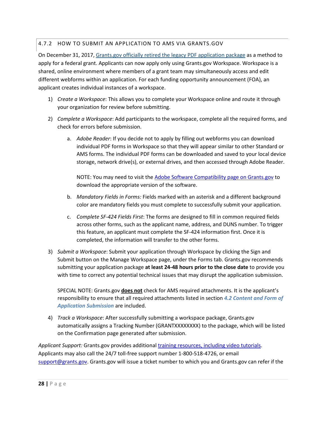### 4.7.2 HOW TO SUBMIT AN APPLICATION TO AMS VIA GRANTS.GOV

On December 31, 2017, Grants.gov officially retired [the legacy PDF application package](https://communications.grants.gov/app/l/mAUxjSrHx7QfuSE9bBKMSQ/8wUMOSFAzsZ0MK9DNLgLtg/hysv8Unh3EXvtNpco6IwbQ) as a method to apply for a federal grant. Applicants can now apply only using Grants.gov Workspace. Workspace is a shared, online environment where members of a grant team may simultaneously access and edit different webforms within an application. For each funding opportunity announcement (FOA), an applicant creates individual instances of a workspace.

- 1) *Create a Workspace*: This allows you to complete your Workspace online and route it through your organization for review before submitting.
- 2) *Complete a Workspace*: Add participants to the workspace, complete all the required forms, and check for errors before submission.
	- a. *Adobe Reader*: If you decide not to apply by filling out webforms you can download individual PDF forms in Workspace so that they will appear similar to other Standard or AMS forms. The individual PDF forms can be downloaded and saved to your local device storage, network drive(s), or external drives, and then accessed through Adobe Reader.

NOTE: You may need to visit the [Adobe Software Compatibility page on Grants.gov](https://www.grants.gov/web/grants/applicants/adobe-software-compatibility.html) to download the appropriate version of the software.

- b. *Mandatory Fields in Forms:* Fields marked with an asterisk and a different background color are mandatory fields you must complete to successfully submit your application.
- c. *Complete SF-424 Fields First*: The forms are designed to fill in common required fields across other forms, such as the applicant name, address, and DUNS number. To trigger this feature, an applicant must complete the SF-424 information first. Once it is completed, the information will transfer to the other forms.
- 3) *Submit a Workspace*: Submit your application through Workspace by clicking the Sign and Submit button on the Manage Workspace page, under the Forms tab. Grants.gov recommends submitting your application package **at least 24-48 hours prior to the close date** to provide you with time to correct any potential technical issues that may disrupt the application submission.

SPECIAL NOTE: Grants.gov **does not** check for AMS required attachments. It is the applicant's responsibility to ensure that all required attachments listed in section *[4.2](#page-12-0) [Content and Form of](#page-12-0)  [Application Submission](#page-12-0)* are included.

4) *Track a Workspace*: After successfully submitting a workspace package, Grants.gov automatically assigns a Tracking Number (GRANTXXXXXXXX) to the package, which will be listed on the Confirmation page generated after submission.

*Applicant Support:* Grants.gov provides additiona[l training resources, including video tutorials.](https://www.grants.gov/web/grants/applicants/applicant-training.html) Applicants may also call the 24/7 toll-free support number 1-800-518-4726, or email [support@grants.gov.](mailto:support@grants.gov) Grants.gov will issue a ticket number to which you and Grants.gov can refer if the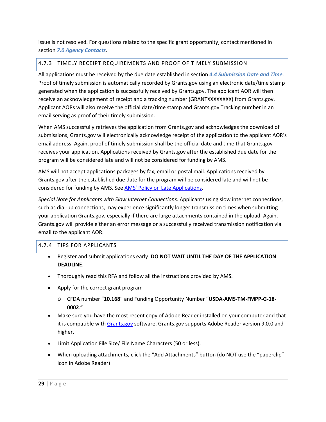issue is not resolved. For questions related to the specific grant opportunity, contact mentioned in section *[7.0](#page-33-0) [Agency Contacts](#page-33-0)*.

### 4.7.3 TIMELY RECEIPT REQUIREMENTS AND PROOF OF TIMELY SUBMISSION

All applications must be received by the due date established in section *[4.4](#page-17-1) [Submission Date and Time](#page-17-1)*. Proof of timely submission is automatically recorded by Grants.gov using an electronic date/time stamp generated when the application is successfully received by Grants.gov. The applicant AOR will then receive an acknowledgement of receipt and a tracking number (GRANTXXXXXXXX) from Grants.gov. Applicant AORs will also receive the official date/time stamp and Grants.gov Tracking number in an email serving as proof of their timely submission.

When AMS successfully retrieves the application from Grants.gov and acknowledges the download of submissions, Grants.gov will electronically acknowledge receipt of the application to the applicant AOR's email address. Again, proof of timely submission shall be the official date and time that Grants.gov receives your application. Applications received by Grants.gov after the established due date for the program will be considered late and will not be considered for funding by AMS.

AMS will not accept applications packages by fax, email or postal mail. Applications received by Grants.gov after the established due date for the program will be considered late and will not be considered for funding by AMS. See [AMS' Policy on Late Applications.](https://www.ams.usda.gov/sites/default/files/media/AMSPolicyonConsiderationofLateNonresponsiveApplications.pdf)

*Special Note for Applicants with Slow Internet Connections.* Applicants using slow internet connections, such as dial-up connections, may experience significantly longer transmission times when submitting your application Grants.gov, especially if there are large attachments contained in the upload. Again, Grants.gov will provide either an error message or a successfully received transmission notification via email to the applicant AOR.

### 4.7.4 TIPS FOR APPLICANTS

- Register and submit applications early. **DO NOT WAIT UNTIL THE DAY OF THE APPLICATION DEADLINE**.
- Thoroughly read this RFA and follow all the instructions provided by AMS.
- Apply for the correct grant program
	- o CFDA number "**10.168**" and Funding Opportunity Number "**USDA-AMS-TM-FMPP-G-18-0002**."
- Make sure you have the most recent copy of Adobe Reader installed on your computer and that it is compatible with [Grants.gov](http://www.grants.gov/) software. Grants.gov supports Adobe Reader version 9.0.0 and higher.
- Limit Application File Size/ File Name Characters (50 or less).
- When uploading attachments, click the "Add Attachments" button (do NOT use the "paperclip" icon in Adobe Reader)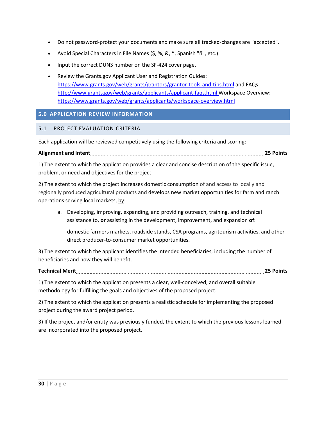- Do not password-protect your documents and make sure all tracked-changes are "accepted".
- Avoid Special Characters in File Names (\$, %, &, \*, Spanish "ñ", etc.).
- Input the correct DUNS number on the SF-424 cover page.
- Review the Grants.gov Applicant User and Registration Guides: <https://www.grants.gov/web/grants/grantors/grantor-tools-and-tips.html> and FAQs: <http://www.grants.gov/web/grants/applicants/applicant-faqs.html> Workspace Overview: <https://www.grants.gov/web/grants/applicants/workspace-overview.html>

### <span id="page-29-0"></span>**5.0 APPLICATION REVIEW INFORMATION**

#### <span id="page-29-1"></span>5.1 PROJECT EVALUATION CRITERIA

Each application will be reviewed competitively using the following criteria and scoring:

#### **Alignment and Intent 25 Points**

1) The extent to which the application provides a clear and concise description of the specific issue, problem, or need and objectives for the project.

2) The extent to which the project increases domestic consumption of and access to locally and regionally produced agricultural products and develops new market opportunities for farm and ranch operations serving local markets, by:

a. Developing, improving, expanding, and providing outreach, training, and technical assistance to, **or** assisting in the development, improvement, and expansion **of**:

domestic farmers markets, roadside stands, CSA programs, agritourism activities, and other direct producer-to-consumer market opportunities.

3) The extent to which the applicant identifies the intended beneficiaries, including the number of beneficiaries and how they will benefit.

### **Technical Merit 25 Points**

1) The extent to which the application presents a clear, well-conceived, and overall suitable methodology for fulfilling the goals and objectives of the proposed project.

2) The extent to which the application presents a realistic schedule for implementing the proposed project during the award project period.

3) If the project and/or entity was previously funded, the extent to which the previous lessons learned are incorporated into the proposed project.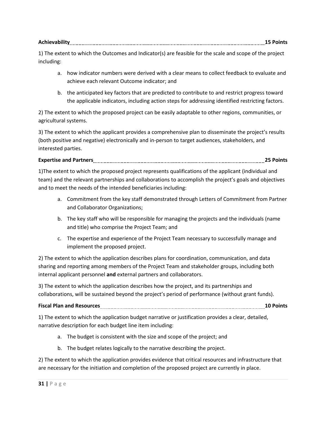| Achieva |  |
|---------|--|
|---------|--|

1) The extent to which the Outcomes and Indicator(s) are feasible for the scale and scope of the project including:

- a. how indicator numbers were derived with a clear means to collect feedback to evaluate and achieve each relevant Outcome indicator; and
- b. the anticipated key factors that are predicted to contribute to and restrict progress toward the applicable indicators, including action steps for addressing identified restricting factors.

2) The extent to which the proposed project can be easily adaptable to other regions, communities, or agricultural systems.

3) The extent to which the applicant provides a comprehensive plan to disseminate the project's results (both positive and negative) electronically and in-person to target audiences, stakeholders, and interested parties.

### **Expertise and Partners 25 Points**

1)The extent to which the proposed project represents qualifications of the applicant (individual and team) and the relevant partnerships and collaborations to accomplish the project's goals and objectives and to meet the needs of the intended beneficiaries including:

- a. Commitment from the key staff demonstrated through Letters of Commitment from Partner and Collaborator Organizations;
- b. The key staff who will be responsible for managing the projects and the individuals (name and title) who comprise the Project Team; and
- c. The expertise and experience of the Project Team necessary to successfully manage and implement the proposed project.

2) The extent to which the application describes plans for coordination, communication, and data sharing and reporting among members of the Project Team and stakeholder groups, including both internal applicant personnel **and** external partners and collaborators.

3) The extent to which the application describes how the project, and its partnerships and collaborations, will be sustained beyond the project's period of performance (without grant funds).

### **Fiscal Plan and Resources 10 Points**

1) The extent to which the application budget narrative or justification provides a clear, detailed, narrative description for each budget line item including:

- a. The budget is consistent with the size and scope of the project; and
- b. The budget relates logically to the narrative describing the project.

2) The extent to which the application provides evidence that critical resources and infrastructure that are necessary for the initiation and completion of the proposed project are currently in place.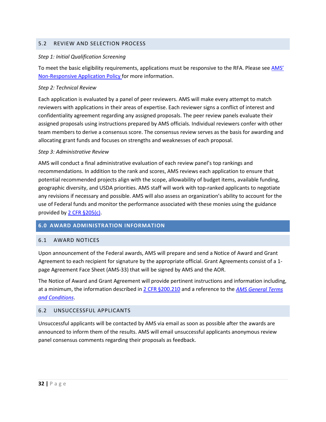#### <span id="page-31-0"></span>5.2 REVIEW AND SELECTION PROCESS

#### *Step 1: Initial Qualification Screening*

To meet the basic eligibility requirements, applications must be responsive to the RFA. Please see AMS' [Non-Responsive Application Policy f](https://www.ams.usda.gov/sites/default/files/media/AMSPolicyonConsiderationofLateNonresponsiveApplications.pdf)or more information.

#### *Step 2: Technical Review*

Each application is evaluated by a panel of peer reviewers. AMS will make every attempt to match reviewers with applications in their areas of expertise. Each reviewer signs a conflict of interest and confidentiality agreement regarding any assigned proposals. The peer review panels evaluate their assigned proposals using instructions prepared by AMS officials. Individual reviewers confer with other team members to derive a consensus score. The consensus review serves as the basis for awarding and allocating grant funds and focuses on strengths and weaknesses of each proposal.

#### *Step 3: Administrative Review*

AMS will conduct a final administrative evaluation of each review panel's top rankings and recommendations. In addition to the rank and scores, AMS reviews each application to ensure that potential recommended projects align with the scope, allowability of budget items, available funding, geographic diversity, and USDA priorities. AMS staff will work with top-ranked applicants to negotiate any revisions if necessary and possible. AMS will also assess an organization's ability to account for the use of Federal funds and monitor the performance associated with these monies using the guidance provided b[y 2 CFR §205\(c\).](https://www.ecfr.gov/cgi-bin/retrieveECFR?gp=&SID=988467ba214fbb07298599affd94f30a&n=pt2.1.200&r=PART&ty=HTML#se2.1.200_1205)

#### <span id="page-31-1"></span>**6.0 AWARD ADMINISTRATION INFORMATION**

#### <span id="page-31-2"></span>6.1 AWARD NOTICES

Upon announcement of the Federal awards, AMS will prepare and send a Notice of Award and Grant Agreement to each recipient for signature by the appropriate official. Grant Agreements consist of a 1 page Agreement Face Sheet (AMS-33) that will be signed by AMS and the AOR.

The Notice of Award and Grant Agreement will provide pertinent instructions and information including, at a minimum, the information described i[n 2 CFR §200.210](https://www.ecfr.gov/cgi-bin/text-idx?SID=70b44cfc44976f4a7742464f7cfbb37e&mc=true&node=se2.1.200_1210&rgn=div8) and a reference to the *[AMS General Terms](https://www.ams.usda.gov/sites/default/files/media/AMSGrantsTermsandConditions.pdf)  [and Conditions](https://www.ams.usda.gov/sites/default/files/media/AMSGrantsTermsandConditions.pdf)*.

### <span id="page-31-3"></span>6.2 UNSUCCESSFUL APPLICANTS

Unsuccessful applicants will be contacted by AMS via email as soon as possible after the awards are announced to inform them of the results. AMS will email unsuccessful applicants anonymous review panel consensus comments regarding their proposals as feedback.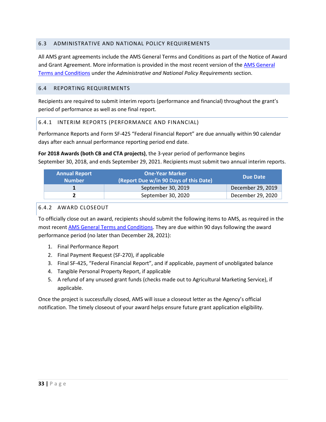### <span id="page-32-0"></span>6.3 ADMINISTRATIVE AND NATIONAL POLICY REQUIREMENTS

All AMS grant agreements include the AMS General Terms and Conditions as part of the Notice of Award and Grant Agreement. More information is provided in the most recent version of the AMS General [Terms and Conditions](https://www.ams.usda.gov/sites/default/files/media/AMSGrantsTermsandConditions.pdf) under the *Administrative and National Policy Requirements* section.

### <span id="page-32-1"></span>6.4 REPORTING REQUIREMENTS

Recipients are required to submit interim reports (performance and financial) throughout the grant's period of performance as well as one final report.

#### 6.4.1 INTERIM REPORTS (PERFORMANCE AND FINANCIAL)

Performance Reports and Form SF-425 "Federal Financial Report" are due annually within 90 calendar days after each annual performance reporting period end date.

## **For 2018 Awards (both CB and CTA projects)**, the 3-year period of performance begins

September 30, 2018, and ends September 29, 2021. Recipients must submit two annual interim reports.

| <b>Annual Report</b><br><b>Number</b> | <b>One-Year Marker</b><br>(Report Due w/in 90 Days of this Date) | Due Date          |
|---------------------------------------|------------------------------------------------------------------|-------------------|
|                                       | September 30, 2019                                               | December 29, 2019 |
|                                       | September 30, 2020                                               | December 29, 2020 |

#### <span id="page-32-2"></span>6.4.2 AWARD CLOSEOUT

To officially close out an award, recipients should submit the following items to AMS, as required in the most recen[t AMS General Terms and Conditions.](https://www.ams.usda.gov/sites/default/files/media/AMSGrantsTermsandConditions.pdf) They are due within 90 days following the award performance period (no later than December 28, 2021):

- 1. Final Performance Report
- 2. Final Payment Request (SF-270), if applicable
- 3. Final SF-425, "Federal Financial Report", and if applicable, payment of unobligated balance
- 4. Tangible Personal Property Report, if applicable
- 5. A refund of any unused grant funds (checks made out to Agricultural Marketing Service), if applicable.

Once the project is successfully closed, AMS will issue a closeout letter as the Agency's official notification. The timely closeout of your award helps ensure future grant application eligibility.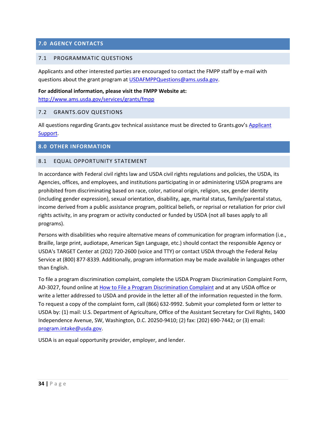### <span id="page-33-0"></span>**7.0 AGENCY CONTACTS**

#### <span id="page-33-1"></span>7.1 PROGRAMMATIC QUESTIONS

Applicants and other interested parties are encouraged to contact the FMPP staff by e-mail with questions about the grant program at [USDAFMPPQuestions@ams.usda.gov.](mailto:USDAFMPPQuestions@ams.usda.gov)

#### **For additional information, please visit the FMPP Website at:**

<http://www.ams.usda.gov/services/grants/fmpp>

#### <span id="page-33-2"></span>7.2 GRANTS.GOV QUESTIONS

All questions regarding Grants.gov technical assistance must be directed to Grants.gov's Applicant [Support.](http://www.grants.gov/web/grants/support.html)

#### <span id="page-33-3"></span>**8.0 OTHER INFORMATION**

#### <span id="page-33-4"></span>8.1 EQUAL OPPORTUNITY STATEMENT

In accordance with Federal civil rights law and USDA civil rights regulations and policies, the USDA, its Agencies, offices, and employees, and institutions participating in or administering USDA programs are prohibited from discriminating based on race, color, national origin, religion, sex, gender identity (including gender expression), sexual orientation, disability, age, marital status, family/parental status, income derived from a public assistance program, political beliefs, or reprisal or retaliation for prior civil rights activity, in any program or activity conducted or funded by USDA (not all bases apply to all programs).

Persons with disabilities who require alternative means of communication for program information (i.e., Braille, large print, audiotape, American Sign Language, etc.) should contact the responsible Agency or USDA's TARGET Center at (202) 720-2600 (voice and TTY) or contact USDA through the Federal Relay Service at (800) 877-8339. Additionally, program information may be made available in languages other than English.

To file a program discrimination complaint, complete the USDA Program Discrimination Complaint Form, AD-3027, found online at [How to File a Program Discrimination Complaint](https://www.ascr.usda.gov/filing-program-discrimination-complaint-usda-customer) and at any USDA office or write a letter addressed to USDA and provide in the letter all of the information requested in the form. To request a copy of the complaint form, call (866) 632-9992. Submit your completed form or letter to USDA by: (1) mail: U.S. Department of Agriculture, Office of the Assistant Secretary for Civil Rights, 1400 Independence Avenue, SW, Washington, D.C. 20250-9410; (2) fax: (202) 690-7442; or (3) email: [program.intake@usda.gov.](mailto:program.intake@usda.gov)

USDA is an equal opportunity provider, employer, and lender.